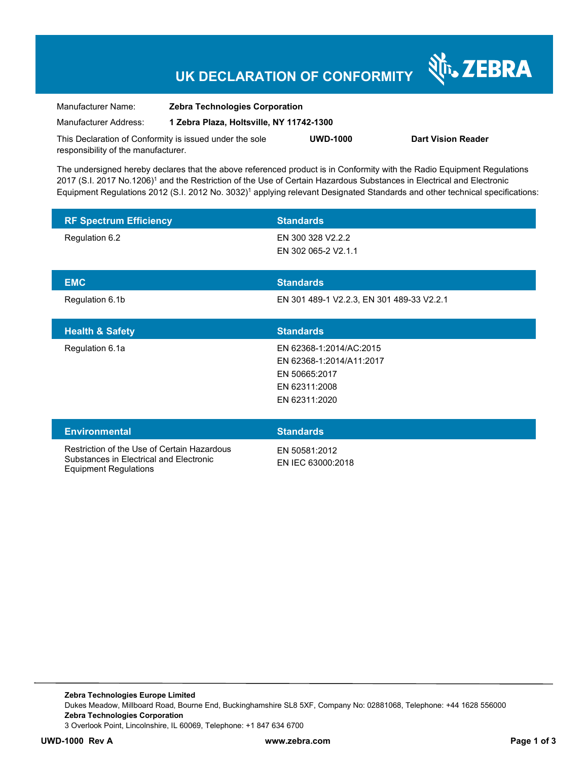## **UK DECLARATION OF CONFORMITY**

Nr. ZEBRA

| Manufacturer Name:                                      | <b>Zebra Technologies Corporation</b>    |                 |                           |
|---------------------------------------------------------|------------------------------------------|-----------------|---------------------------|
| Manufacturer Address:                                   | 1 Zebra Plaza, Holtsville, NY 11742-1300 |                 |                           |
| This Declaration of Conformity is issued under the sole |                                          | <b>UWD-1000</b> | <b>Dart Vision Reader</b> |
| responsibility of the manufacturer.                     |                                          |                 |                           |

The undersigned hereby declares that the above referenced product is in Conformity with the Radio Equipment Regulations 2017 (S.I. 2017 No.1206)<sup>1</sup> and the Restriction of the Use of Certain Hazardous Substances in Electrical and Electronic Equipment Regulations 2012 (S.I. 2012 No. 3032)<sup>1</sup> applying relevant Designated Standards and other technical specifications:

| <b>RF Spectrum Efficiency</b>                                                          | <b>Standards</b>                                                                                       |
|----------------------------------------------------------------------------------------|--------------------------------------------------------------------------------------------------------|
| Regulation 6.2                                                                         | EN 300 328 V2.2.2<br>EN 302 065-2 V2.1.1                                                               |
| <b>EMC</b>                                                                             | <b>Standards</b>                                                                                       |
| Regulation 6.1b                                                                        | EN 301 489-1 V2.2.3, EN 301 489-33 V2.2.1                                                              |
| <b>Health &amp; Safety</b>                                                             | <b>Standards</b>                                                                                       |
| Regulation 6.1a                                                                        | EN 62368-1:2014/AC:2015<br>EN 62368-1:2014/A11:2017<br>EN 50665:2017<br>EN 62311:2008<br>EN 62311:2020 |
| <b>Environmental</b>                                                                   | <b>Standards</b>                                                                                       |
| Restriction of the Use of Certain Hazardous<br>Substances in Electrical and Electronic | EN 50581:2012<br>EN IEC 63000:2018                                                                     |

Equipment Regulations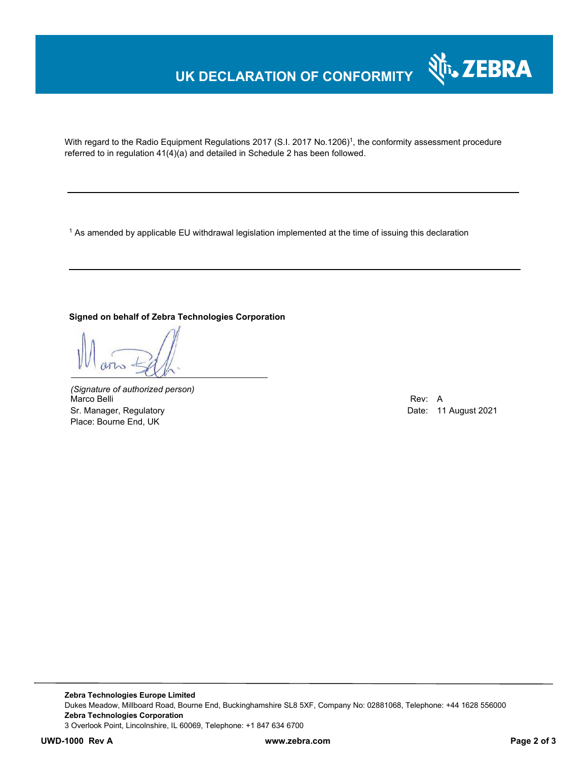## **UK DECLARATION OF CONFORMITY**



With regard to the Radio Equipment Regulations 2017 (S.I. 2017 No.1206)<sup>1</sup>, the conformity assessment procedure referred to in regulation 41(4)(a) and detailed in Schedule 2 has been followed.

1 As amended by applicable EU withdrawal legislation implemented at the time of issuing this declaration

### **Signed on behalf of Zebra Technologies Corporation**

*(Signature of authorized person)* Marco Belli Rev: A Sr. Manager, Regulatory **Date: 11 August 2021** Place: Bourne End, UK